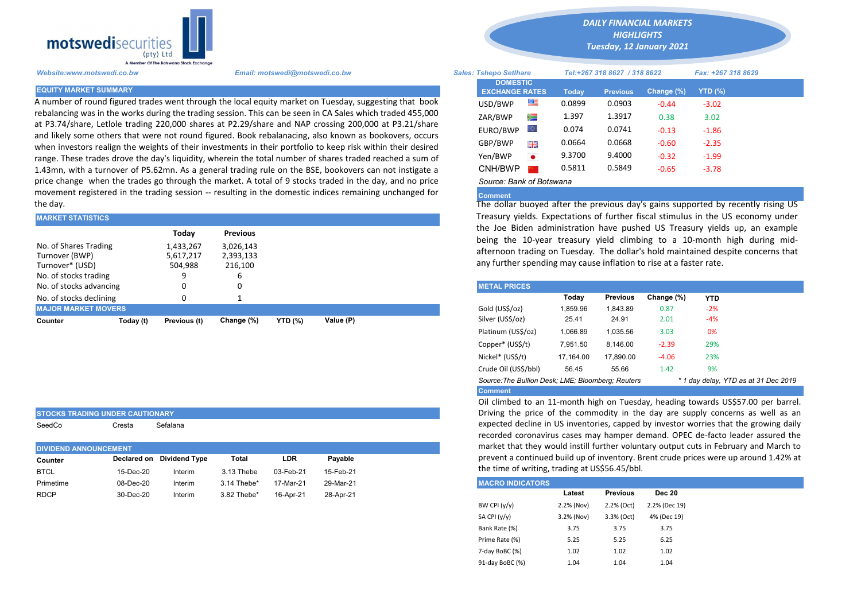

STOCKS TRADING UNDER CAUTIONARY SeedCo Cresta Sefalana

A number of round figured trades went through the local equity market on Tuesday, suggesting that book rebalancing was in the works during the trading session. This can be seen in CA Sales which traded 455,000 at P3.74/share, Letlole trading 220,000 shares at P2.29/share and NAP crossing 200,000 at P3.21/share and likely some others that were not round figured. Book rebalanacing, also known as bookovers, occurs when investors realign the weights of their investments in their portfolio to keep risk within their desired range. These trades drove the day's liquidity, wherein the total number of shares traded reached a sum of 1.43mn, with a turnover of P5.62mn. As a general trading rule on the BSE, bookovers can not instigate a price change when the trades go through the market. A total of 9 stocks traded in the day, and no price movement registered in the trading session -- resulting in the domestic indices remaining unchanged for the day.

| <b>MARKET STATISTICS</b>                                   |           |                                            |                                                      | Treasury yields. Expectations of further fiscal stimulus in the |           |                                                                                                                                                                                                                                                          |
|------------------------------------------------------------|-----------|--------------------------------------------|------------------------------------------------------|-----------------------------------------------------------------|-----------|----------------------------------------------------------------------------------------------------------------------------------------------------------------------------------------------------------------------------------------------------------|
| No. of Shares Trading<br>Turnover (BWP)<br>Turnover* (USD) |           | Todav<br>1,433,267<br>5,617,217<br>504,988 | <b>Previous</b><br>3,026,143<br>2,393,133<br>216,100 |                                                                 |           | the Joe Biden administration have pushed US Treasury yie<br>being the 10-year treasury yield climbing to a 10-month<br>afternoon trading on Tuesday. The dollar's hold maintained d<br>any further spending may cause inflation to rise at a faster rate |
| No. of stocks trading                                      |           | 9                                          | ь                                                    |                                                                 |           |                                                                                                                                                                                                                                                          |
| No. of stocks advancing                                    |           |                                            | υ                                                    |                                                                 |           | <b>METAL PRICES</b>                                                                                                                                                                                                                                      |
| No. of stocks declining                                    |           |                                            |                                                      |                                                                 |           | Todav<br><b>Previous</b><br>Change (%)<br><b>YTD</b>                                                                                                                                                                                                     |
| <b>MAJOR MARKET MOVERS</b>                                 |           |                                            |                                                      |                                                                 |           | Gold (US\$/oz)<br>1.859.96<br>$-2%$<br>1.843.89<br>0.87                                                                                                                                                                                                  |
| Counter                                                    | Today (t) | Previous (t)                               | Change (%)                                           | <b>YTD (%)</b>                                                  | Value (P) | Silver (US\$/oz)<br>$-4%$<br>24.91<br>25.41<br>2.01                                                                                                                                                                                                      |
|                                                            |           |                                            |                                                      |                                                                 |           | .                                                                                                                                                                                                                                                        |

| <b>DIVIDEND ANNOUNCEMENT</b> |           |                           |             |            |           |  |  |  |  |
|------------------------------|-----------|---------------------------|-------------|------------|-----------|--|--|--|--|
| Counter                      |           | Declared on Dividend Type | Total       | <b>LDR</b> | Pavable   |  |  |  |  |
| <b>BTCL</b>                  | 15-Dec-20 | Interim                   | 3.13 Thebe  | 03-Feb-21  | 15-Feb-21 |  |  |  |  |
| Primetime                    | 08-Dec-20 | Interim                   | 3.14 Thebe* | 17-Mar-21  | 29-Mar-21 |  |  |  |  |
| <b>RDCP</b>                  | 30-Dec-20 | Interim                   | 3.82 Thebe* | 16-Apr-21  | 28-Apr-21 |  |  |  |  |

*DAILY FINANCIAL MARKETS HIGHLIGHTS Tuesday, 12 January 2021* 

| A Member Of The Botswana Stock Exchange |                                                                                                                                                                                                                 |                               |                                          |           |                              |                 |               |                    |  |
|-----------------------------------------|-----------------------------------------------------------------------------------------------------------------------------------------------------------------------------------------------------------------|-------------------------------|------------------------------------------|-----------|------------------------------|-----------------|---------------|--------------------|--|
| Website:www.motswedi.co.bw              | Email: motswedi@motswedi.co.bw                                                                                                                                                                                  | <b>Sales: Tshepo Setlhare</b> |                                          |           | Tel:+267 318 8627 / 318 8622 |                 |               | Fax: +267 318 8629 |  |
| <b>EQUITY MARKET SUMMARY</b>            |                                                                                                                                                                                                                 |                               | <b>DOMESTIC</b><br><b>EXCHANGE RATES</b> |           | <b>Today</b>                 | <b>Previous</b> | Change $(\%)$ | <b>YTD (%)</b>     |  |
|                                         | A number of round figured trades went through the local equity market on Tuesday, suggesting that book                                                                                                          |                               | USD/BWP                                  | 噻         | 0.0899                       | 0.0903          | $-0.44$       | $-3.02$            |  |
|                                         | ebalancing was in the works during the trading session. This can be seen in CA Sales which traded 455,000                                                                                                       |                               | ZAR/BWP                                  | Ň         | 1.397                        | 1.3917          | 0.38          | 3.02               |  |
|                                         | at P3.74/share, Letlole trading 220,000 shares at P2.29/share and NAP crossing 200,000 at P3.21/share<br>and likely some others that were not round figured. Book rebalanacing, also known as bookovers, occurs |                               | EURO/BWP                                 |           | 0.074                        | 0.0741          | $-0.13$       | $-1.86$            |  |
|                                         | when investors realign the weights of their investments in their portfolio to keep risk within their desired                                                                                                    |                               | GBP/BWP                                  | 開開        | 0.0664                       | 0.0668          | $-0.60$       | $-2.35$            |  |
|                                         | ange. These trades drove the day's liquidity, wherein the total number of shares traded reached a sum of                                                                                                        |                               | Yen/BWP                                  | $\bullet$ | 9.3700                       | 9.4000          | $-0.32$       | $-1.99$            |  |
|                                         | L.43mn, with a turnover of P5.62mn. As a general trading rule on the BSE, bookovers can not instigate a                                                                                                         |                               | CNH/BWP                                  |           | 0.5811                       | 0.5849          | $-0.65$       | $-3.78$            |  |
|                                         | price change when the trades go through the market. A total of 9 stocks traded in the day, and no price                                                                                                         |                               | Source: Bank of Botswana                 |           |                              |                 |               |                    |  |

## Comment

The dollar buoyed after the previous day's gains supported by recently rising US Treasury yields. Expectations of further fiscal stimulus in the US economy under the Joe Biden administration have pushed US Treasury yields up, an example being the 10-year treasury yield climbing to a 10-month high during midafternoon trading on Tuesday. The dollar's hold maintained despite concerns that any further spending may cause inflation to rise at a faster rate.

| <b>METAL PRICES</b>                                                                       |           |                 |            |            |  |  |  |  |  |  |
|-------------------------------------------------------------------------------------------|-----------|-----------------|------------|------------|--|--|--|--|--|--|
|                                                                                           | Today     | <b>Previous</b> | Change (%) | <b>YTD</b> |  |  |  |  |  |  |
| Gold (US\$/oz)                                                                            | 1,859.96  | 1,843.89        | 0.87       | $-2%$      |  |  |  |  |  |  |
| Silver (US\$/oz)                                                                          | 25.41     | 24.91           | 2.01       | $-4%$      |  |  |  |  |  |  |
| Platinum (US\$/oz)                                                                        | 1.066.89  | 1.035.56        | 3.03       | 0%         |  |  |  |  |  |  |
| Copper* (US\$/t)                                                                          | 7,951.50  | 8.146.00        | $-2.39$    | 29%        |  |  |  |  |  |  |
| Nickel* (US\$/t)                                                                          | 17.164.00 | 17.890.00       | $-4.06$    | 23%        |  |  |  |  |  |  |
| Crude Oil (US\$/bbl)                                                                      | 56.45     | 55.66           | 1.42       | 9%         |  |  |  |  |  |  |
| Source: The Bullion Desk; LME; Bloomberg; Reuters<br>* 1 day delay, YTD as at 31 Dec 2019 |           |                 |            |            |  |  |  |  |  |  |
| <b>Comment</b>                                                                            |           |                 |            |            |  |  |  |  |  |  |

Oil climbed to an 11-month high on Tuesday, heading towards US\$57.00 per barrel. Driving the price of the commodity in the day are supply concerns as well as an expected decline in US inventories, capped by investor worries that the growing daily recorded coronavirus cases may hamper demand. OPEC de-facto leader assured the market that they would instill further voluntary output cuts in February and March to prevent a continued build up of inventory. Brent crude prices were up around 1.42% at the time of writing, trading at US\$56.45/bbl.

| <b>MACRO INDICATORS</b> |            |                 |               |
|-------------------------|------------|-----------------|---------------|
|                         | Latest     | <b>Previous</b> | <b>Dec 20</b> |
| BW CPI $(y/y)$          | 2.2% (Nov) | 2.2% (Oct)      | 2.2% (Dec 19) |
| SA CPI (y/y)            | 3.2% (Nov) | 3.3% (Oct)      | 4% (Dec 19)   |
| Bank Rate (%)           | 3.75       | 3.75            | 3.75          |
| Prime Rate (%)          | 5.25       | 5.25            | 6.25          |
| 7-day BoBC (%)          | 1.02       | 1.02            | 1.02          |
| 91-day BoBC (%)         | 1.04       | 1.04            | 1.04          |